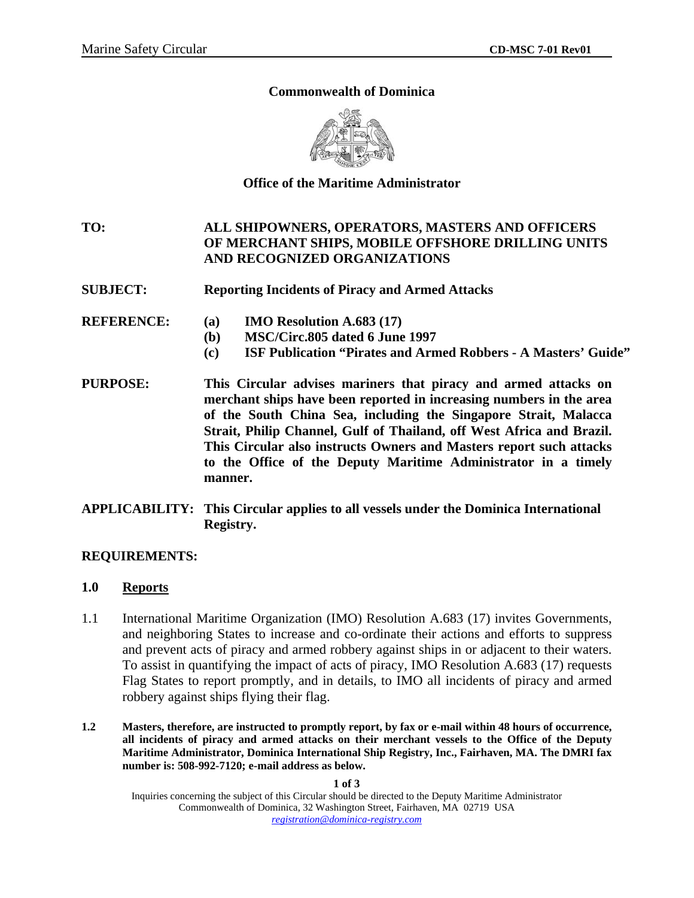### **Commonwealth of Dominica**



# **Office of the Maritime Administrator**

**TO: ALL SHIPOWNERS, OPERATORS, MASTERS AND OFFICERS OF MERCHANT SHIPS, MOBILE OFFSHORE DRILLING UNITS AND RECOGNIZED ORGANIZATIONS** 

- **SUBJECT: Reporting Incidents of Piracy and Armed Attacks**
- **REFERENCE: (a) IMO Resolution A.683 (17)** 
	- **(b) MSC/Circ.805 dated 6 June 1997**
	- **(c) ISF Publication "Pirates and Armed Robbers A Masters' Guide"**
- **PURPOSE: This Circular advises mariners that piracy and armed attacks on merchant ships have been reported in increasing numbers in the area of the South China Sea, including the Singapore Strait, Malacca Strait, Philip Channel, Gulf of Thailand, off West Africa and Brazil. This Circular also instructs Owners and Masters report such attacks to the Office of the Deputy Maritime Administrator in a timely manner.**
- **APPLICABILITY: This Circular applies to all vessels under the Dominica International Registry.**

### **REQUIREMENTS:**

### **1.0 Reports**

- 1.1 International Maritime Organization (IMO) Resolution A.683 (17) invites Governments, and neighboring States to increase and co-ordinate their actions and efforts to suppress and prevent acts of piracy and armed robbery against ships in or adjacent to their waters. To assist in quantifying the impact of acts of piracy, IMO Resolution A.683 (17) requests Flag States to report promptly, and in details, to IMO all incidents of piracy and armed robbery against ships flying their flag.
- **1.2 Masters, therefore, are instructed to promptly report, by fax or e-mail within 48 hours of occurrence, all incidents of piracy and armed attacks on their merchant vessels to the Office of the Deputy Maritime Administrator, Dominica International Ship Registry, Inc., Fairhaven, MA. The DMRI fax number is: 508-992-7120; e-mail address as below.**

**1 of 3**  Inquiries concerning the subject of this Circular should be directed to the Deputy Maritime Administrator Commonwealth of Dominica, 32 Washington Street, Fairhaven, MA 02719 USA *registration@dominica-registry.com*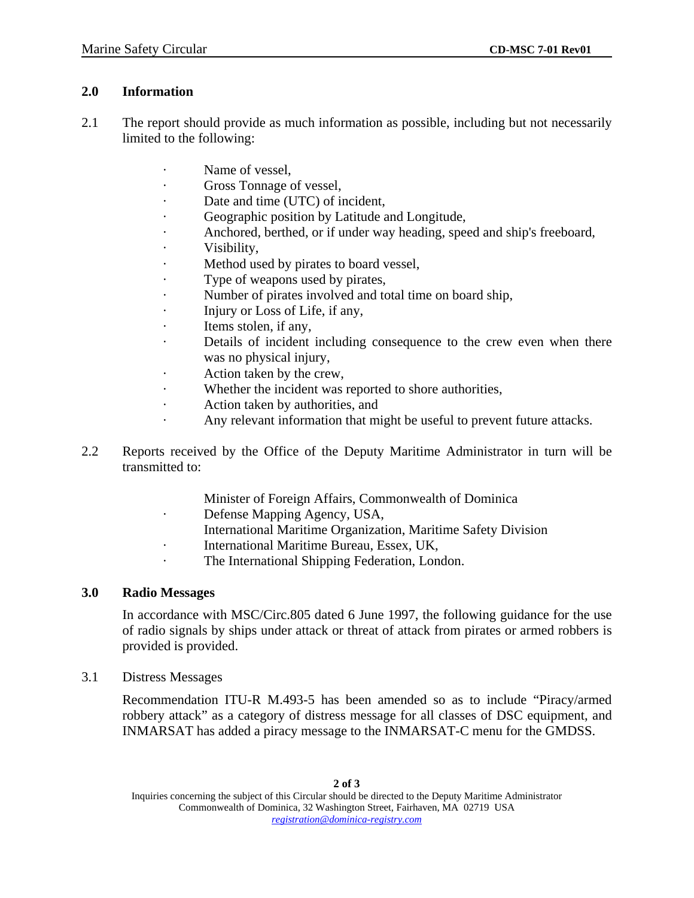### **2.0 Information**

- 2.1 The report should provide as much information as possible, including but not necessarily limited to the following:
	- · Name of vessel,
	- · Gross Tonnage of vessel,
	- Date and time (UTC) of incident,
	- Geographic position by Latitude and Longitude,
	- Anchored, berthed, or if under way heading, speed and ship's freeboard,
	- · Visibility,
	- Method used by pirates to board vessel,
	- · Type of weapons used by pirates,
	- Number of pirates involved and total time on board ship,
	- · Injury or Loss of Life, if any,
	- Items stolen, if any,
	- Details of incident including consequence to the crew even when there was no physical injury,
	- · Action taken by the crew,
	- Whether the incident was reported to shore authorities,
	- Action taken by authorities, and
	- Any relevant information that might be useful to prevent future attacks.
- 2.2 Reports received by the Office of the Deputy Maritime Administrator in turn will be transmitted to:
	- Minister of Foreign Affairs, Commonwealth of Dominica
	- · Defense Mapping Agency, USA,
		- International Maritime Organization, Maritime Safety Division
	- · International Maritime Bureau, Essex, UK,
	- The International Shipping Federation, London.

# **3.0 Radio Messages**

In accordance with MSC/Circ.805 dated 6 June 1997, the following guidance for the use of radio signals by ships under attack or threat of attack from pirates or armed robbers is provided is provided.

3.1 Distress Messages

Recommendation ITU-R M.493-5 has been amended so as to include "Piracy/armed robbery attack" as a category of distress message for all classes of DSC equipment, and INMARSAT has added a piracy message to the INMARSAT-C menu for the GMDSS.